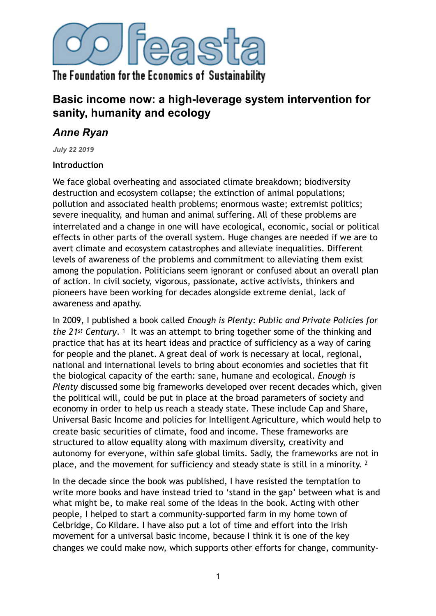

# **Basic income now: a high-leverage system intervention for sanity, humanity and ecology**

# *Anne Ryan*

*July 22 2019*

### **Introduction**

We face global overheating and associated climate breakdown; biodiversity destruction and ecosystem collapse; the extinction of animal populations; pollution and associated health problems; enormous waste; extremist politics; severe inequality, and human and animal suffering. All of these problems are interrelated and a change in one will have ecological, economic, social or political effects in other parts of the overall system. Huge changes are needed if we are to avert climate and ecosystem catastrophes and alleviate inequalities. Different levels of awareness of the problems and commitment to alleviating them exist among the population. Politicians seem ignorant or confused about an overall plan of action. In civil society, vigorous, passionate, active activists, thinkers and pioneers have been working for decades alongside extreme denial, lack of awareness and apathy.

<span id="page-0-0"></span>In 2009, I published a book called *Enough is Plenty: Public and Private Policies for the2[1](#page-13-0)<sup>st</sup>* Century. <sup>1</sup> It was an attempt to bring together some of the thinking and practice that has at its heart ideas and practice of sufficiency as a way of caring for people and the planet. A great deal of work is necessary at local, regional, national and international levels to bring about economies and societies that fit the biological capacity of the earth: sane, humane and ecological. *Enough is Plenty* discussed some big frameworks developed over recent decades which, given the political will, could be put in place at the broad parameters of society and economy in order to help us reach a steady state. These include Cap and Share, Universal Basic Income and policies for Intelligent Agriculture, which would help to create basic securities of climate, food and income. These frameworks are structured to allow equality along with maximum diversity, creativity and autonomy for everyone, within safe global limits. Sadly, the frameworks are not in place, and the movement for sufficiency and steady state is still in a minority. [2](#page-13-1)

<span id="page-0-1"></span>In the decade since the book was published, I have resisted the temptation to write more books and have instead tried to 'stand in the gap' between what is and what might be, to make real some of the ideas in the book. Acting with other people, I helped to start a community-supported farm in my home town of Celbridge, Co Kildare. I have also put a lot of time and effort into the Irish movement for a universal basic income, because I think it is one of the key changes we could make now, which supports other efforts for change, community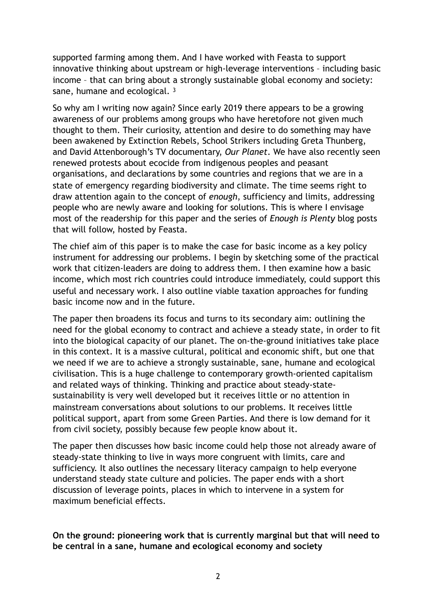supported farming among them. And I have worked with Feasta to support innovative thinking about upstream or high-leverage interventions – including basic income – that can bring about a strongly sustainable global economy and society: sane, humane and ecological.<sup>[3](#page-13-2)</sup>

<span id="page-1-0"></span>So why am I writing now again? Since early 2019 there appears to be a growing awareness of our problems among groups who have heretofore not given much thought to them. Their curiosity, attention and desire to do something may have been awakened by Extinction Rebels, School Strikers including Greta Thunberg, and David Attenborough's TV documentary, *Our Planet*. We have also recently seen renewed protests about ecocide from indigenous peoples and peasant organisations, and declarations by some countries and regions that we are in a state of emergency regarding biodiversity and climate. The time seems right to draw attention again to the concept of *enough*, sufficiency and limits, addressing people who are newly aware and looking for solutions. This is where I envisage most of the readership for this paper and the series of *Enough is Plenty* blog posts that will follow, hosted by Feasta.

The chief aim of this paper is to make the case for basic income as a key policy instrument for addressing our problems. I begin by sketching some of the practical work that citizen-leaders are doing to address them. I then examine how a basic income, which most rich countries could introduce immediately, could support this useful and necessary work. I also outline viable taxation approaches for funding basic income now and in the future.

The paper then broadens its focus and turns to its secondary aim: outlining the need for the global economy to contract and achieve a steady state, in order to fit into the biological capacity of our planet. The on-the-ground initiatives take place in this context. It is a massive cultural, political and economic shift, but one that we need if we are to achieve a strongly sustainable, sane, humane and ecological civilisation. This is a huge challenge to contemporary growth-oriented capitalism and related ways of thinking. Thinking and practice about steady-statesustainability is very well developed but it receives little or no attention in mainstream conversations about solutions to our problems. It receives little political support, apart from some Green Parties. And there is low demand for it from civil society, possibly because few people know about it.

The paper then discusses how basic income could help those not already aware of steady-state thinking to live in ways more congruent with limits, care and sufficiency. It also outlines the necessary literacy campaign to help everyone understand steady state culture and policies. The paper ends with a short discussion of leverage points, places in which to intervene in a system for maximum beneficial effects.

**On the ground: pioneering work that is currently marginal but that will need to be central in a sane, humane and ecological economy and society**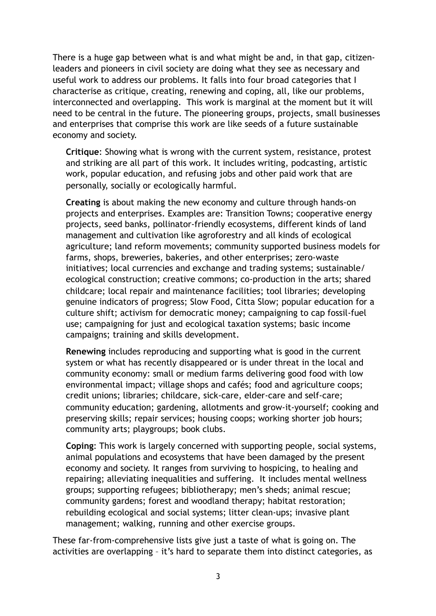There is a huge gap between what is and what might be and, in that gap, citizenleaders and pioneers in civil society are doing what they see as necessary and useful work to address our problems. It falls into four broad categories that I characterise as critique, creating, renewing and coping, all, like our problems, interconnected and overlapping. This work is marginal at the moment but it will need to be central in the future. The pioneering groups, projects, small businesses and enterprises that comprise this work are like seeds of a future sustainable economy and society.

**Critique**: Showing what is wrong with the current system, resistance, protest and striking are all part of this work. It includes writing, podcasting, artistic work, popular education, and refusing jobs and other paid work that are personally, socially or ecologically harmful.

**Creating** is about making the new economy and culture through hands-on projects and enterprises. Examples are: Transition Towns; cooperative energy projects, seed banks, pollinator-friendly ecosystems, different kinds of land management and cultivation like agroforestry and all kinds of ecological agriculture; land reform movements; community supported business models for farms, shops, breweries, bakeries, and other enterprises; zero-waste initiatives; local currencies and exchange and trading systems; sustainable/ ecological construction; creative commons; co-production in the arts; shared childcare; local repair and maintenance facilities; tool libraries; developing genuine indicators of progress; Slow Food, Citta Slow; popular education for a culture shift; activism for democratic money; campaigning to cap fossil-fuel use; campaigning for just and ecological taxation systems; basic income campaigns; training and skills development.

**Renewing** includes reproducing and supporting what is good in the current system or what has recently disappeared or is under threat in the local and community economy: small or medium farms delivering good food with low environmental impact; village shops and cafés; food and agriculture coops; credit unions; libraries; childcare, sick-care, elder-care and self-care; community education; gardening, allotments and grow-it-yourself; cooking and preserving skills; repair services; housing coops; working shorter job hours; community arts; playgroups; book clubs.

**Coping**: This work is largely concerned with supporting people, social systems, animal populations and ecosystems that have been damaged by the present economy and society. It ranges from surviving to hospicing, to healing and repairing; alleviating inequalities and suffering. It includes mental wellness groups; supporting refugees; bibliotherapy; men's sheds; animal rescue; community gardens; forest and woodland therapy; habitat restoration; rebuilding ecological and social systems; litter clean-ups; invasive plant management; walking, running and other exercise groups.

These far-from-comprehensive lists give just a taste of what is going on. The activities are overlapping – it's hard to separate them into distinct categories, as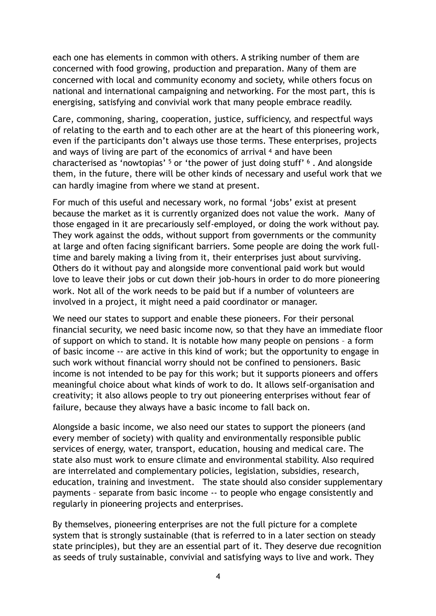each one has elements in common with others. A striking number of them are concerned with food growing, production and preparation. Many of them are concerned with local and community economy and society, while others focus on national and international campaigning and networking. For the most part, this is energising, satisfying and convivial work that many people embrace readily.

<span id="page-3-0"></span>Care, commoning, sharing, cooperation, justice, sufficiency, and respectful ways of relating to the earth and to each other are at the heart of this pioneering work, even if the participants don't always use those terms. These enterprises, projects andways of living are part of the economics of arrival  $4$  and have been characterisedas 'nowtopias'  $5$  or 'the power of just doing stuff'  $6$ . And alongside them, in the future, there will be other kinds of necessary and useful work that we can hardly imagine from where we stand at present.

<span id="page-3-2"></span><span id="page-3-1"></span>For much of this useful and necessary work, no formal 'jobs' exist at present because the market as it is currently organized does not value the work. Many of those engaged in it are precariously self-employed, or doing the work without pay. They work against the odds, without support from governments or the community at large and often facing significant barriers. Some people are doing the work fulltime and barely making a living from it, their enterprises just about surviving. Others do it without pay and alongside more conventional paid work but would love to leave their jobs or cut down their job-hours in order to do more pioneering work. Not all of the work needs to be paid but if a number of volunteers are involved in a project, it might need a paid coordinator or manager.

We need our states to support and enable these pioneers. For their personal financial security, we need basic income now, so that they have an immediate floor of support on which to stand. It is notable how many people on pensions – a form of basic income -- are active in this kind of work; but the opportunity to engage in such work without financial worry should not be confined to pensioners. Basic income is not intended to be pay for this work; but it supports pioneers and offers meaningful choice about what kinds of work to do. It allows self-organisation and creativity; it also allows people to try out pioneering enterprises without fear of failure, because they always have a basic income to fall back on.

Alongside a basic income, we also need our states to support the pioneers (and every member of society) with quality and environmentally responsible public services of energy, water, transport, education, housing and medical care. The state also must work to ensure climate and environmental stability. Also required are interrelated and complementary policies, legislation, subsidies, research, education, training and investment. The state should also consider supplementary payments – separate from basic income -- to people who engage consistently and regularly in pioneering projects and enterprises.

By themselves, pioneering enterprises are not the full picture for a complete system that is strongly sustainable (that is referred to in a later section on steady state principles), but they are an essential part of it. They deserve due recognition as seeds of truly sustainable, convivial and satisfying ways to live and work. They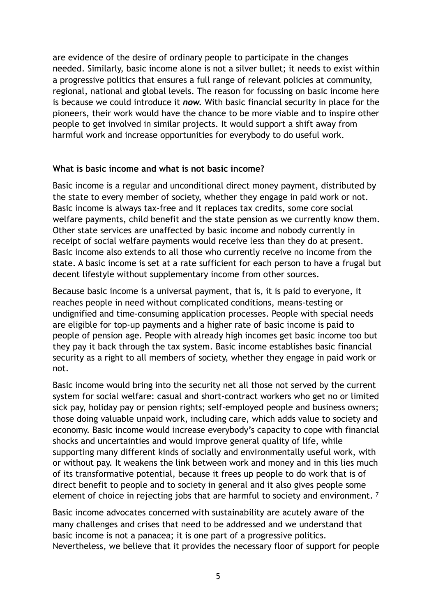are evidence of the desire of ordinary people to participate in the changes needed. Similarly, basic income alone is not a silver bullet; it needs to exist within a progressive politics that ensures a full range of relevant policies at community, regional, national and global levels. The reason for focussing on basic income here is because we could introduce it *now.* With basic financial security in place for the pioneers, their work would have the chance to be more viable and to inspire other people to get involved in similar projects. It would support a shift away from harmful work and increase opportunities for everybody to do useful work.

#### **What is basic income and what is not basic income?**

Basic income is a regular and unconditional direct money payment, distributed by the state to every member of society, whether they engage in paid work or not. Basic income is always tax-free and it replaces tax credits, some core social welfare payments, child benefit and the state pension as we currently know them. Other state services are unaffected by basic income and nobody currently in receipt of social welfare payments would receive less than they do at present. Basic income also extends to all those who currently receive no income from the state. A basic income is set at a rate sufficient for each person to have a frugal but decent lifestyle without supplementary income from other sources.

Because basic income is a universal payment, that is, it is paid to everyone, it reaches people in need without complicated conditions, means-testing or undignified and time-consuming application processes. People with special needs are eligible for top-up payments and a higher rate of basic income is paid to people of pension age. People with already high incomes get basic income too but they pay it back through the tax system. Basic income establishes basic financial security as [a right to all members of society,](https://socialisteconomic.wordpress.com/2016/04/18/why-the-left-should-support-basic-income/) whether they engage in paid work or not.

Basic income would bring into the security net all those not served by the current system for social welfare: casual and short-contract workers who get no or limited sick pay, holiday pay or pension rights; self-employed people and business owners; those doing valuable unpaid work, including care, which adds value to society and economy. Basic income would increase everybody's capacity to cope with financial shocks and uncertainties and would improve general quality of life, while supporting many different kinds of socially and environmentally useful work, with or without pay. It weakens the link between work and money and in this lies much of its transformative potential, because it frees up people to do work that is of direct benefit to people and to society in general and it also gives people some element of choice in rejecting jobs that are harmful to society and environment.<sup>7</sup>

<span id="page-4-0"></span>Basic income advocates concerned with sustainability are acutely aware of the many challenges and crises that need to be addressed and we understand that basic income is not a panacea; it is one part of a progressive politics. Nevertheless, we believe that it provides the necessary floor of support for people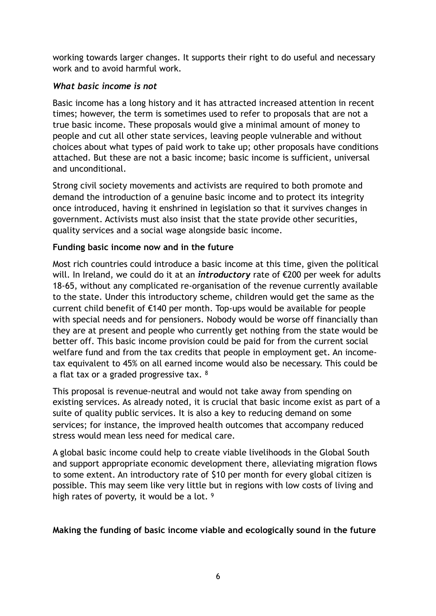working towards larger changes. It supports their right to do useful and necessary work and to avoid harmful work.

## *What basic income is not*

Basic income has a long history and it has attracted increased attention in recent times; however, the term is sometimes used to refer to proposals that are not a true basic income. These proposals would give a minimal amount of money to people and cut all other state services, leaving people vulnerable and without choices about what types of paid work to take up; other proposals have conditions attached. But these are not a basic income; basic income is sufficient, universal and unconditional.

Strong civil society movements and activists are required to both promote and demand the introduction of a genuine basic income and to protect its integrity once introduced, having it enshrined in legislation so that it survives changes in government. Activists must also insist that the state provide other securities, quality services and a social wage alongside basic income.

## **Funding basic income now and in the future**

Most rich countries could introduce a basic income at this time, given the political will. In Ireland, we could do it at an *introductory* rate of €200 per week for adults 18-65, without any complicated re-organisation of the revenue currently available to the state. Under this introductory scheme, children would get the same as the current child benefit of €140 per month. Top-ups would be available for people with special needs and for pensioners. Nobody would be worse off financially than they are at present and people who currently get nothing from the state would be better off. This basic income provision could be paid for from the current social welfare fund and from the tax credits that people in employment get. An incometax equivalent to 45% on all earned income would also be necessary. This could be a flat tax or a graded progressive tax. [8](#page-14-1)

<span id="page-5-0"></span>This proposal is revenue-neutral and would not take away from spending on existing services. As already noted, it is crucial that basic income exist as part of a suite of quality public services. It is also a key to reducing demand on some services; for instance, the improved health outcomes that accompany reduced stress would mean less need for medical care.

A global basic income could help to create viable livelihoods in the Global South and support appropriate economic development there, alleviating migration flows to some extent. An introductory rate of \$10 per month for every global citizen is possible. This may seem like very little but in regions with low costs of living and high rates of poverty, it would be a lot. [9](#page-14-2)

### <span id="page-5-1"></span>**Making the funding of basic income viable and ecologically sound in the future**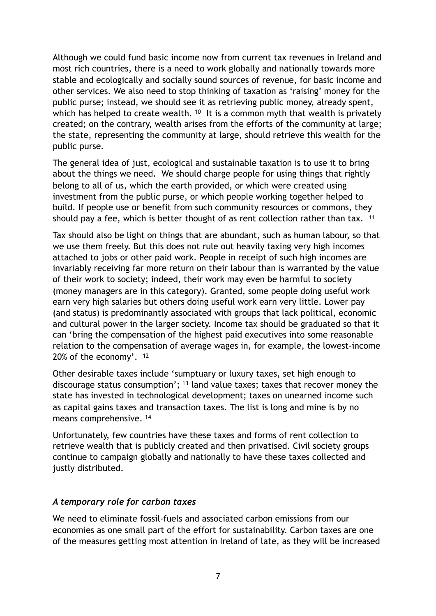Although we could fund basic income now from current tax revenues in Ireland and most rich countries, there is a need to work globally and nationally towards more stable and ecologically and socially sound sources of revenue, for basic income and other services. We also need to stop thinking of taxation as 'raising' money for the public purse; instead, we should see it as retrieving public money, already spent, whichhas helped to create wealth.  $10$  It is a common myth that wealth is privately created; on the contrary, wealth arises from the efforts of the community at large; the state, representing the community at large, should retrieve this wealth for the public purse.

<span id="page-6-0"></span>The general idea of just, ecological and sustainable taxation is to use it to bring about the things we need. We should charge people for using things that rightly belong to all of us, which the earth provided, or which were created using investment from the public purse, or which people working together helped to build. If people use or benefit from such community resources or commons, they should pay a fee, which is better thought of as rent collection rather than tax. <sup>[11](#page-14-4)</sup>

<span id="page-6-1"></span>Tax should also be light on things that are abundant, such as human labour, so that we use them freely. But this does not rule out heavily taxing very high incomes attached to jobs or other paid work. People in receipt of such high incomes are invariably receiving far more return on their labour than is warranted by the value of their work to society; indeed, their work may even be harmful to society (money managers are in this category). Granted, some people doing useful work earn very high salaries but others doing useful work earn very little. Lower pay (and status) is predominantly associated with groups that lack political, economic and cultural power in the larger society. Income tax should be graduated so that it can 'bring the compensation of the highest paid executives into some reasonable relation to the compensation of average wages in, for example, the lowest-income 20% of the economy'. [12](#page-14-5)

<span id="page-6-3"></span><span id="page-6-2"></span>Other desirable taxes include 'sumptuary or luxury taxes, set high enough to discouragestatus consumption';  $13$  land value taxes; taxes that recover money the state has invested in technological development; taxes on unearned income such as capital gains taxes and transaction taxes. The list is long and mine is by no means comprehensive. [14](#page-14-7)

<span id="page-6-4"></span>Unfortunately, few countries have these taxes and forms of rent collection to retrieve wealth that is publicly created and then privatised. Civil society groups continue to campaign globally and nationally to have these taxes collected and justly distributed.

### *A temporary role for carbon taxes*

We need to eliminate fossil-fuels and associated carbon emissions from our economies as one small part of the effort for sustainability. Carbon taxes are one of the measures getting most attention in Ireland of late, as they will be increased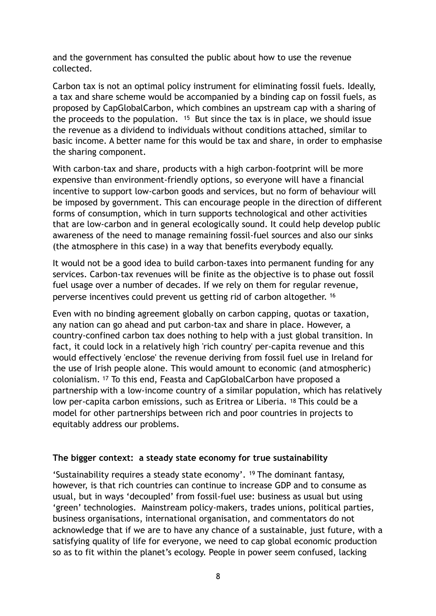and the government has consulted the public about how to use the revenue collected.

<span id="page-7-0"></span>Carbon tax is not an optimal policy instrument for eliminating fossil fuels. Ideally, a tax and share scheme would be accompanied by a binding cap on fossil fuels, as proposed by CapGlobalCarbon, which combines an upstream cap with a sharing of the proceeds to the population.  $15$  But since the tax is in place, we should issue the revenue as a dividend to individuals without conditions attached, similar to basic income. A better name for this would be tax and share, in order to emphasise the sharing component.

With carbon-tax and share, products with a high carbon-footprint will be more expensive than environment-friendly options, so everyone will have a financial incentive to support low-carbon goods and services, but no form of behaviour will be imposed by government. This can encourage people in the direction of different forms of consumption, which in turn supports technological and other activities that are low-carbon and in general ecologically sound. It could help develop public awareness of the need to manage remaining fossil-fuel sources and also our sinks (the atmosphere in this case) in a way that benefits everybody equally.

It would not be a good idea to build carbon-taxes into permanent funding for any services. Carbon-tax revenues will be finite as the objective is to phase out fossil fuel usage over a number of decades. If we rely on them for regular revenue, perverse incentives could prevent us getting rid of carbon altogether. [16](#page-14-9)

<span id="page-7-2"></span><span id="page-7-1"></span>Even with no binding agreement globally on carbon capping, quotas or taxation, any nation can go ahead and put carbon-tax and share in place. However, a country-confined carbon tax does nothing to help with a just global transition. In fact, it could lock in a relatively high 'rich country' per-capita revenue and this would effectively 'enclose' the revenue deriving from fossil fuel use in Ireland for the use of Irish people alone. This would amount to economic (and atmospheric) colonialism.<sup>[17](#page-14-10)</sup> To this end, Feasta and CapGlobalCarbon have proposed a partnership with a low-income country of a similar population, which has relatively low per-capita carbon emissions, such as Eritrea or Liberia. [18](#page-14-11) This could be a model for other partnerships between rich and poor countries in projects to equitably address our problems.

#### <span id="page-7-3"></span>**The bigger context: a steady state economy for true sustainability**

<span id="page-7-4"></span>'Sustainability requires a steady state economy'. <sup>[19](#page-14-12)</sup> The dominant fantasy, however, is that rich countries can continue to increase GDP and to consume as usual, but in ways 'decoupled' from fossil-fuel use: business as usual but using 'green' technologies. Mainstream policy-makers, trades unions, political parties, business organisations, international organisation, and commentators do not acknowledge that if we are to have any chance of a sustainable, just future, with a satisfying quality of life for everyone, we need to cap global economic production so as to fit within the planet's ecology. People in power seem confused, lacking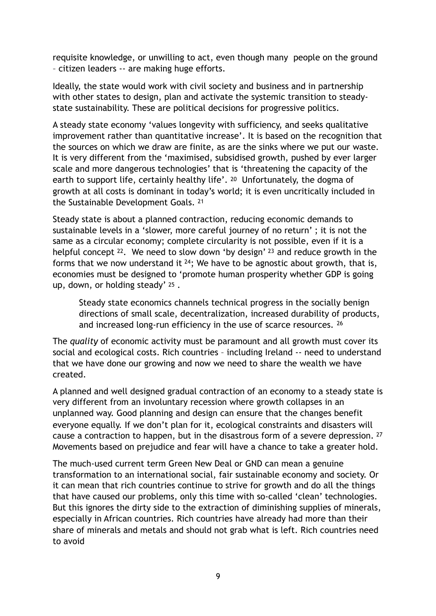requisite knowledge, or unwilling to act, even though many people on the ground – citizen leaders -- are making huge efforts.

Ideally, the state would work with civil society and business and in partnership with other states to design, plan and activate the systemic transition to steadystate sustainability. These are political decisions for progressive politics.

A steady state economy 'values longevity with sufficiency, and seeks qualitative improvement rather than quantitative increase'. It is based on the recognition that the sources on which we draw are finite, as are the sinks where we put our waste. It is very different from the 'maximised, subsidised growth, pushed by ever larger scale and more dangerous technologies' that is 'threatening the capacity of the earth to support life, certainly healthy life'. [20](#page-14-13) Unfortunately, the dogma of growth at all costs is dominant in today's world; it is even uncritically included in the Sustainable Development Goals. [21](#page-14-14)

<span id="page-8-1"></span><span id="page-8-0"></span>Steady state is about a planned contraction, reducing economic demands to sustainable levels in a 'slower, more careful journey of no return' ; it is not the same as a circular economy; complete circularity is not possible, even if it is a helpfulconcept  $22$ . We need to slow down 'by design'  $23$  and reduce growth in the forms that we now understand it  $24$ ; We have to be agnostic about growth, that is, economies must be designed to 'promote human prosperity whether GDP is going up, down, or holding steady' [25](#page-15-0) .

<span id="page-8-6"></span><span id="page-8-5"></span><span id="page-8-4"></span><span id="page-8-3"></span><span id="page-8-2"></span>Steady state economics channels technical progress in the socially benign directions of small scale, decentralization, increased durability of products, and increased long-run efficiency in the use of scarce resources. <sup>[26](#page-15-1)</sup>

The *quality* of economic activity must be paramount and all growth must cover its social and ecological costs. Rich countries – including Ireland -- need to understand that we have done our growing and now we need to share the wealth we have created.

A planned and well designed gradual contraction of an economy to a steady state is very different from an involuntary recession where growth collapses in an unplanned way. Good planning and design can ensure that the changes benefit everyone equally. If we don't plan for it, ecological constraints and disasters will cause a contraction to happen, but in the disastrous form of a severe depression. [27](#page-15-2) Movements based on prejudice and fear will have a chance to take a greater hold.

<span id="page-8-7"></span>The much-used current term Green New Deal or GND can mean a genuine transformation to an international social, fair sustainable economy and society. Or it can mean that rich countries continue to strive for growth and do all the things that have caused our problems, only this time with so-called 'clean' technologies. But this ignores the dirty side to the extraction of diminishing supplies of minerals, especially in African countries. Rich countries have already had more than their share of minerals and metals and should not grab what is left. Rich countries need to avoid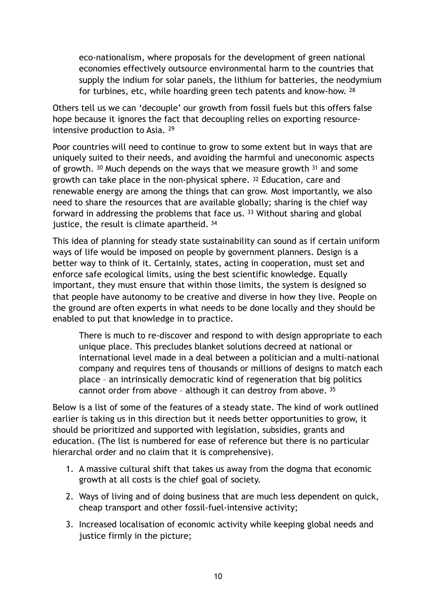<span id="page-9-3"></span><span id="page-9-1"></span><span id="page-9-0"></span>eco-nationalism, where proposals for the development of green national economies effectively outsource environmental harm to the countries that supply the indium for solar panels, the lithium for batteries, the neodymium for turbines, etc, while hoarding green tech patents and know-how. [28](#page-15-3)

Others tell us we can 'decouple' our growth from fossil fuels but this offers false hope because it ignores the fact that decoupling relies on exporting resourceintensive production to Asia. [29](#page-15-4)

<span id="page-9-4"></span><span id="page-9-2"></span>Poor countries will need to continue to grow to some extent but in ways that are uniquely suited to their needs, and avoiding the harmful and uneconomic aspects ofgrowth.  $30$  Much depends on the ways that we measure growth  $31$  and some growth can take place in the non-physical sphere. [32](#page-15-7) Education, care and renewable energy are among the things that can grow. Most importantly, we also need to share the resources that are available globally; sharing is the chief way forwardin addressing the problems that face us.  $33$  Without sharing and global justice, the result is climate apartheid. [34](#page-15-9)

<span id="page-9-6"></span><span id="page-9-5"></span>This idea of planning for steady state sustainability can sound as if certain uniform ways of life would be imposed on people by government planners. Design is a better way to think of it. Certainly, states, acting in cooperation, must set and enforce safe ecological limits, using the best scientific knowledge. Equally important, they must ensure that within those limits, the system is designed so that people have autonomy to be creative and diverse in how they live. People on the ground are often experts in what needs to be done locally and they should be enabled to put that knowledge in to practice.

<span id="page-9-7"></span>There is much to re-discover and respond to with design appropriate to each unique place. This precludes blanket solutions decreed at national or international level made in a deal between a politician and a multi-national company and requires tens of thousands or millions of designs to match each place – an intrinsically democratic kind of regeneration that big politics cannot order from above – although it can destroy from above. [35](#page-15-10)

Below is a list of some of the features of a steady state. The kind of work outlined earlier is taking us in this direction but it needs better opportunities to grow, it should be prioritized and supported with legislation, subsidies, grants and education. (The list is numbered for ease of reference but there is no particular hierarchal order and no claim that it is comprehensive).

- 1. A massive cultural shift that takes us away from the dogma that economic growth at all costs is the chief goal of society.
- 2. Ways of living and of doing business that are much less dependent on quick, cheap transport and other fossil-fuel-intensive activity;
- 3. Increased localisation of economic activity while keeping global needs and justice firmly in the picture;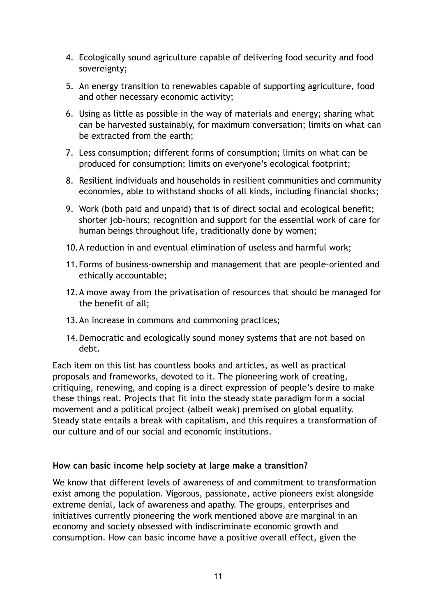- 4. Ecologically sound agriculture capable of delivering food security and food sovereignty;
- 5. An energy transition to renewables capable of supporting agriculture, food and other necessary economic activity;
- 6. Using as little as possible in the way of materials and energy; sharing what can be harvested sustainably, for maximum conversation; limits on what can be extracted from the earth;
- 7. Less consumption; different forms of consumption; limits on what can be produced for consumption; limits on everyone's ecological footprint;
- 8. Resilient individuals and households in resilient communities and community economies, able to withstand shocks of all kinds, including financial shocks;
- 9. Work (both paid and unpaid) that is of direct social and ecological benefit; shorter job-hours; recognition and support for the essential work of care for human beings throughout life, traditionally done by women;
- 10.A reduction in and eventual elimination of useless and harmful work;
- 11.Forms of business-ownership and management that are people-oriented and ethically accountable;
- 12.A move away from the privatisation of resources that should be managed for the benefit of all;
- 13.An increase in commons and commoning practices;
- 14.Democratic and ecologically sound money systems that are not based on debt.

Each item on this list has countless books and articles, as well as practical proposals and frameworks, devoted to it. The pioneering work of creating, critiquing, renewing, and coping is a direct expression of people's desire to make these things real. Projects that fit into the steady state paradigm form a social movement and a political project (albeit weak) premised on global equality. Steady state entails a break with capitalism, and this requires a transformation of our culture and of our social and economic institutions.

### **How can basic income help society at large make a transition?**

We know that different levels of awareness of and commitment to transformation exist among the population. Vigorous, passionate, active pioneers exist alongside extreme denial, lack of awareness and apathy. The groups, enterprises and initiatives currently pioneering the work mentioned above are marginal in an economy and society obsessed with indiscriminate economic growth and consumption. How can basic income have a positive overall effect, given the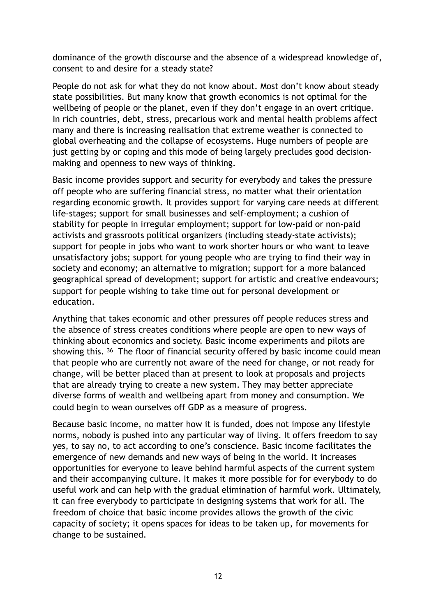dominance of the growth discourse and the absence of a widespread knowledge of, consent to and desire for a steady state?

People do not ask for what they do not know about. Most don't know about steady state possibilities. But many know that growth economics is not optimal for the wellbeing of people or the planet, even if they don't engage in an overt critique. In rich countries, debt, stress, precarious work and mental health problems affect many and there is increasing realisation that extreme weather is connected to global overheating and the collapse of ecosystems. Huge numbers of people are just getting by or coping and this mode of being largely precludes good decisionmaking and openness to new ways of thinking.

Basic income provides support and security for everybody and takes the pressure off people who are suffering financial stress, no matter what their orientation regarding economic growth. It provides support for varying care needs at different life-stages; support for small businesses and self-employment; a cushion of stability for people in irregular employment; support for low-paid or non-paid activists and grassroots political organizers (including steady-state activists); support for people in jobs who want to work shorter hours or who want to leave unsatisfactory jobs; support for young people who are trying to find their way in society and economy; an alternative to migration; support for a more balanced geographical spread of development; support for artistic and creative endeavours; support for people wishing to take time out for personal development or education.

<span id="page-11-0"></span>Anything that takes economic and other pressures off people reduces stress and the absence of stress creates conditions where people are open to new ways of thinking about economics and society. Basic income experiments and pilots are showingthis. <sup>[36](#page-15-11)</sup> The floor of financial security offered by basic income could mean that people who are currently not aware of the need for change, or not ready for change, will be better placed than at present to look at proposals and projects that are already trying to create a new system. They may better appreciate diverse forms of wealth and wellbeing apart from money and consumption. We could begin to wean ourselves off GDP as a measure of progress.

Because basic income, no matter how it is funded, does not impose any lifestyle norms, nobody is pushed into any particular way of living. It offers freedom to say yes, to say no, to act according to one's conscience. Basic income facilitates the emergence of new demands and new ways of being in the world. It increases opportunities for everyone to leave behind harmful aspects of the current system and their accompanying culture. It makes it more possible for for everybody to do useful work and can help with the gradual elimination of harmful work. Ultimately, it can free everybody to participate in designing systems that work for all. The freedom of choice that basic income provides allows the growth of the civic capacity of society; it opens spaces for ideas to be taken up, for movements for change to be sustained.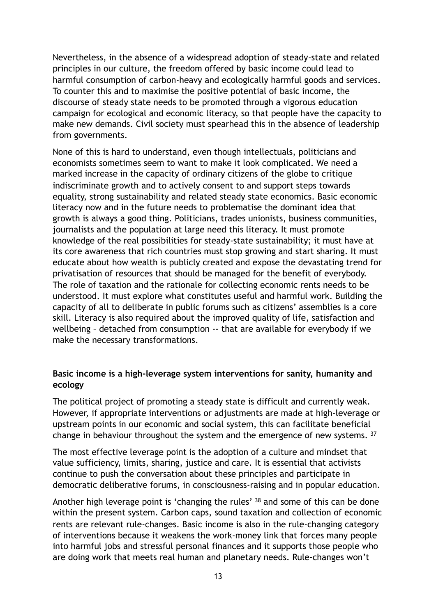Nevertheless, in the absence of a widespread adoption of steady-state and related principles in our culture, the freedom offered by basic income could lead to harmful consumption of carbon-heavy and ecologically harmful goods and services. To counter this and to maximise the positive potential of basic income, the discourse of steady state needs to be promoted through a vigorous education campaign for ecological and economic literacy, so that people have the capacity to make new demands. Civil society must spearhead this in the absence of leadership from governments.

None of this is hard to understand, even though intellectuals, politicians and economists sometimes seem to want to make it look complicated. We need a marked increase in the capacity of ordinary citizens of the globe to critique indiscriminate growth and to actively consent to and support steps towards equality, strong sustainability and related steady state economics. Basic economic literacy now and in the future needs to problematise the dominant idea that growth is always a good thing. Politicians, trades unionists, business communities, journalists and the population at large need this literacy. It must promote knowledge of the real possibilities for steady-state sustainability; it must have at its core awareness that rich countries must stop growing and start sharing. It must educate about how wealth is publicly created and expose the devastating trend for privatisation of resources that should be managed for the benefit of everybody. The role of taxation and the rationale for collecting economic rents needs to be understood. It must explore what constitutes useful and harmful work. Building the capacity of all to deliberate in public forums such as citizens' assemblies is a core skill. Literacy is also required about the improved quality of life, satisfaction and wellbeing – detached from consumption -- that are available for everybody if we make the necessary transformations.

#### **Basic income is a high-leverage system interventions for sanity, humanity and ecology**

The political project of promoting a steady state is difficult and currently weak. However, if appropriate interventions or adjustments are made at high-leverage or upstream points in our economic and social system, this can facilitate beneficial change in behaviour throughout the system and the emergence of new systems. [37](#page-15-12)

<span id="page-12-0"></span>The most effective leverage point is the adoption of a culture and mindset that value sufficiency, limits, sharing, justice and care. It is essential that activists continue to push the conversation about these principles and participate in democratic deliberative forums, in consciousness-raising and in popular education.

<span id="page-12-1"></span>Anotherhigh leverage point is 'changing the rules' [38](#page-16-0) and some of this can be done within the present system. Carbon caps, sound taxation and collection of economic rents are relevant rule-changes. Basic income is also in the rule-changing category of interventions because it weakens the work-money link that forces many people into harmful jobs and stressful personal finances and it supports those people who are doing work that meets real human and planetary needs. Rule-changes won't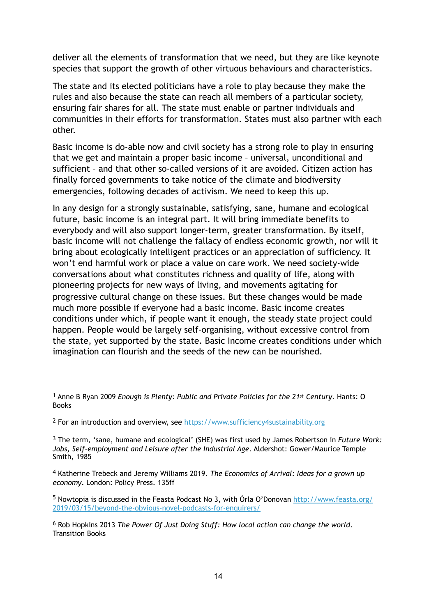deliver all the elements of transformation that we need, but they are like keynote species that support the growth of other virtuous behaviours and characteristics.

The state and its elected politicians have a role to play because they make the rules and also because the state can reach all members of a particular society, ensuring fair shares for all. The state must enable or partner individuals and communities in their efforts for transformation. States must also partner with each other.

Basic income is do-able now and civil society has a strong role to play in ensuring that we get and maintain a proper basic income – universal, unconditional and sufficient – and that other so-called versions of it are avoided. Citizen action has finally forced governments to take notice of the climate and biodiversity emergencies, following decades of activism. We need to keep this up.

In any design for a strongly sustainable, satisfying, sane, humane and ecological future, basic income is an integral part. It will bring immediate benefits to everybody and will also support longer-term, greater transformation. By itself, basic income will not challenge the fallacy of endless economic growth, nor will it bring about ecologically intelligent practices or an appreciation of sufficiency. It won't end harmful work or place a value on care work. We need society-wide conversations about what constitutes richness and quality of life, along with pioneering projects for new ways of living, and movements agitating for progressive cultural change on these issues. But these changes would be made much more possible if everyone had a basic income. Basic income creates conditions under which, if people want it enough, the steady state project could happen. People would be largely self-organising, without excessive control from the state, yet supported by the state. Basic Income creates conditions under which imagination can flourish and the seeds of the new can be nourished.

<span id="page-13-0"></span> Anne B Ryan 2009 *Enough is Plenty: Public and Private Policies for the 21st Century*. Hants: O [1](#page-0-0) Books

<span id="page-13-1"></span><sup>2</sup> For an introduction and overview, see <https://www.sufficiency4sustainability.org>

<span id="page-13-2"></span> The term, 'sane, humane and ecological' (SHE) was first used by James Robertson in *Future Work:* [3](#page-1-0) *Jobs, Self-employment and Leisure after the Industrial Age*. Aldershot: Gower/Maurice Temple Smith, 1985

<span id="page-13-3"></span><sup>[4](#page-3-0)</sup> Katherine Trebeck and Jeremy Williams 2019. *The Economics of Arrival: Ideas for a grown up economy*. London: Policy Press. 135ff

<span id="page-13-4"></span>5 Nowtopia is discussed in the Feasta Podcast No 3, with Órla O'Donovan [http://www.feasta.org/](http://www.feasta.org/2019/03/15/beyond-the-obvious-novel-podcasts-for-enquirers/) [2019/03/15/beyond-the-obvious-novel-podcasts-for-enquirers/](http://www.feasta.org/2019/03/15/beyond-the-obvious-novel-podcasts-for-enquirers/)

<span id="page-13-5"></span><sup>[6](#page-3-2)</sup> Rob Hopkins 2013 *The Power Of Just Doing Stuff: How local action can change the world.* Transition Books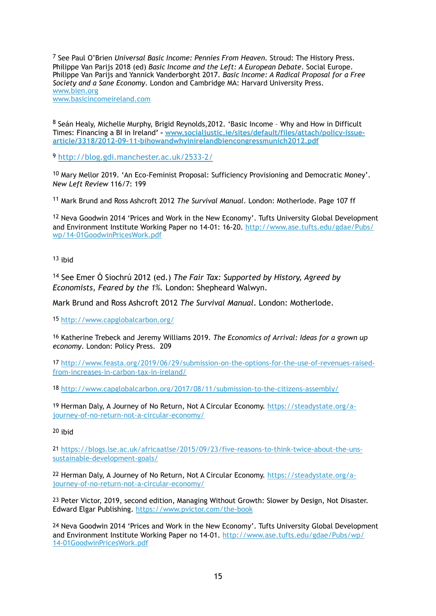<span id="page-14-0"></span><sup>[7](#page-4-0)</sup> See Paul O'Brien *Universal Basic Income: Pennies From Heaven*. Stroud: The History Press. Philippe Van Parijs 2018 (ed) *Basic Income and the Left: A European Debate*. Social Europe. Philippe Van Parijs and Yannick Vanderborght 2017. *Basic Income: A Radical Proposal for a Free Society and a Sane Economy*. London and Cambridge MA: Harvard University Press. [www.bien.org](http://www.bien.org) [www.basicincomeireland.com](http://www.basicincomeireland.com)

<span id="page-14-1"></span>[8](#page-5-0) Seán Healy, Michelle Murphy, Brigid Reynolds, 2012. 'Basic Income - Why and How in Difficult Times: Financing a BI in Ireland**' – [www.socialjustic.ie/sites/default/files/attach/policy-issue](http://www.socialjustic.ie/sites/default/files/attach/policy-issue-article/3318/2012-09-11-bihowandwhyinirelandbiencongressmunich2012.pdf)[article/3318/2012-09-11-bihowandwhyinirelandbiencongressmunich2012.pdf](http://www.socialjustic.ie/sites/default/files/attach/policy-issue-article/3318/2012-09-11-bihowandwhyinirelandbiencongressmunich2012.pdf)**

<span id="page-14-2"></span><http://blog.gdi.manchester.ac.uk/2533-2/>[9](#page-5-1)

<span id="page-14-3"></span>[10](#page-6-0) Mary Mellor 2019. 'An Eco-Feminist Proposal: Sufficiency Provisioning and Democratic Money'. *New Left Review* 116/7: 199

<span id="page-14-4"></span><sup>[11](#page-6-1)</sup> Mark Brund and Ross Ashcroft 2012 *The Survival Manual*. London: Motherlode. Page 107 ff

<span id="page-14-5"></span><sup>[12](#page-6-2)</sup> Neva Goodwin 2014 'Prices and Work in the New Economy'. Tufts University Global Development and Environment Institute Working Paper no 14-01: 16-20. [http://www.ase.tufts.edu/gdae/Pubs/](http://www.ase.tufts.edu/gdae/Pubs/wp/14-01GoodwinPricesWork.pdf) [wp/14-01GoodwinPricesWork.pdf](http://www.ase.tufts.edu/gdae/Pubs/wp/14-01GoodwinPricesWork.pdf)

<span id="page-14-6"></span> $13$  ihid

<span id="page-14-7"></span><sup>[14](#page-6-4)</sup> See Emer Ó Siochrú 2012 (ed.) *The Fair Tax: Supported by History, Agreed by Economists, Feared by the 1%.* London: Shepheard Walwyn.

Mark Brund and Ross Ashcroft 2012 *The Survival Manual*. London: Motherlode.

<span id="page-14-8"></span>[15](#page-7-0) <http://www.capglobalcarbon.org/>

<span id="page-14-9"></span>[16](#page-7-1) Katherine Trebeck and Jeremy Williams 2019. *The Economics of Arrival: Ideas for a grown up economy*. London: Policy Press. 209

<span id="page-14-10"></span>[17](#page-7-2) [http://www.feasta.org/2019/06/29/submission-on-the-options-for-the-use-of-revenues-raised](http://www.feasta.org/2019/06/29/submission-on-the-options-for-the-use-of-revenues-raised-from-increases-in-carbon-tax-in-ireland/)[from-increases-in-carbon-tax-in-ireland/](http://www.feasta.org/2019/06/29/submission-on-the-options-for-the-use-of-revenues-raised-from-increases-in-carbon-tax-in-ireland/)

<span id="page-14-11"></span>[18](#page-7-3) <http://www.capglobalcarbon.org/2017/08/11/submission-to-the-citizens-assembly/>

<span id="page-14-12"></span>[19](#page-7-4) Herman Daly, A Journey of No Return, Not A Circular Economy. [https://steadystate.org/a](https://steadystate.org/a-journey-of-no-return-not-a-circular-economy/)[journey-of-no-return-not-a-circular-economy/](https://steadystate.org/a-journey-of-no-return-not-a-circular-economy/)

<span id="page-14-13"></span>[20](#page-8-0) ibid

<span id="page-14-14"></span>[21](#page-8-1) [https://blogs.lse.ac.uk/africaatlse/2015/09/23/five-reasons-to-think-twice-about-the-uns](https://blogs.lse.ac.uk/africaatlse/2015/09/23/five-reasons-to-think-twice-about-the-uns-sustainable-development-goals/)[sustainable-development-goals/](https://blogs.lse.ac.uk/africaatlse/2015/09/23/five-reasons-to-think-twice-about-the-uns-sustainable-development-goals/)

<span id="page-14-15"></span>[22](#page-8-2) Herman Daly, A Journey of No Return, Not A Circular Economy. [https://steadystate.org/a](https://steadystate.org/a-journey-of-no-return-not-a-circular-economy/)[journey-of-no-return-not-a-circular-economy/](https://steadystate.org/a-journey-of-no-return-not-a-circular-economy/)

<span id="page-14-16"></span>[23](#page-8-3) Peter Victor, 2019, second edition, Managing Without Growth: Slower by Design, Not Disaster. Edward Elgar Publishing. <https://www.pvictor.com/the-book>

<span id="page-14-17"></span>[24](#page-8-4) Neva Goodwin 2014 'Prices and Work in the New Economy'. Tufts University Global Development and Environment Institute Working Paper no 14-01. [http://www.ase.tufts.edu/gdae/Pubs/wp/](http://www.ase.tufts.edu/gdae/Pubs/wp/14-01GoodwinPricesWork.pdf) [14-01GoodwinPricesWork.pdf](http://www.ase.tufts.edu/gdae/Pubs/wp/14-01GoodwinPricesWork.pdf)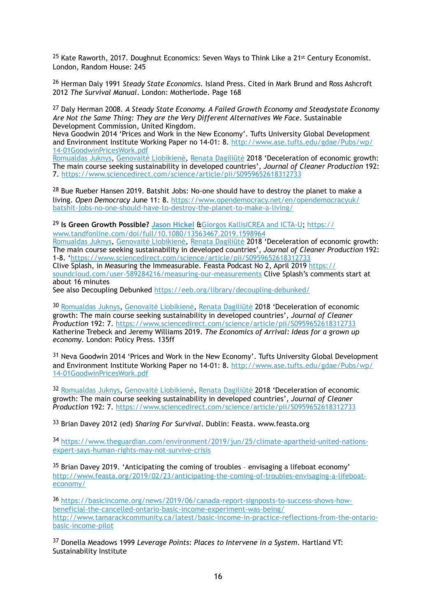<span id="page-15-0"></span><sup>[25](#page-8-5)</sup> Kate Raworth, 2017. Doughnut Economics: Seven Ways to Think Like a 21<sup>st</sup> Century Economist. London, Random House: 245

<span id="page-15-1"></span><sup>[26](#page-8-6)</sup> Herman Daly 1991 *Steady State Economics*. Island Press. Cited in Mark Brund and Ross Ashcroft 2012 *The Survival Manual*. London: Motherlode. Page 168

<span id="page-15-2"></span> Daly Herman 2008. *A Steady State Economy. A Failed Growth Economy and Steadystate Economy* [27](#page-8-7) *Are Not the Same Thing: They are the Very Different Alternatives We Face*. Sustainable Development Commission, United Kingdom.

Neva Goodwin 2014 'Prices and Work in the New Economy'. Tufts University Global Development and Environment Institute Working Paper no 14-01: 8. [http://www.ase.tufts.edu/gdae/Pubs/wp/](http://www.ase.tufts.edu/gdae/Pubs/wp/14-01GoodwinPricesWork.pdf) [14-01GoodwinPricesWork.pdf](http://www.ase.tufts.edu/gdae/Pubs/wp/14-01GoodwinPricesWork.pdf)

[Romualdas Juknys](https://www.sciencedirect.com/science/article/pii/S0959652618312733#!), Genovaitė Liobikienė, Renata Dagiliūtė 2018 'Deceleration of economic growth: The main course seeking sustainability in developed countries', *Journal of Cleaner Production* 192: 7. <https://www.sciencedirect.com/science/article/pii/S0959652618312733>

<span id="page-15-3"></span> $28$  Bue Rueber Hansen 2019. Batshit Jobs: No-one should have to destroy the planet to make a living. *Open Democracy* June 11: 8. [https://www.opendemocracy.net/en/opendemocracyuk/](https://www.opendemocracy.net/en/opendemocracyuk/batshit-jobs-no-one-should-have-to-destroy-the-planet-to-make-a-living/) [batshit-jobs-no-one-should-have-to-destroy-the-planet-to-make-a-living/](https://www.opendemocracy.net/en/opendemocracyuk/batshit-jobs-no-one-should-have-to-destroy-the-planet-to-make-a-living/)

#### <span id="page-15-4"></span>**Is Green Growth Possible? [Jason Hickel](https://www.tandfonline.com/author/Hickel%252C+Jason)** &[Giorgos KallisICREA and ICTA-U;](https://www.tandfonline.com/author/Kallis%252C+Giorgos) [https://](https://www.tandfonline.com/doi/full/10.1080/13563467.2019.1598964) [29](#page-9-1) [www.tandfonline.com/doi/full/10.1080/13563467.2019.1598964](https://www.tandfonline.com/doi/full/10.1080/13563467.2019.1598964)

[Romualdas Juknys](https://www.sciencedirect.com/science/article/pii/S0959652618312733#!), Genovaitė Liobikienė, Renata Dagiliūtė 2018 'Deceleration of economic growth: The main course seeking sustainability in developed countries', *Journal of Cleaner Production* 192: 1-8. '<https://www.sciencedirect.com/science/article/pii/S0959652618312733> Clive Splash, in Measuring the Immeasurable. Feasta Podcast No 2, April 2019 [https://](https://soundcloud.com/user-589284216/measuring-our-measurements) [soundcloud.com/user-589284216/measuring-our-measurements](https://soundcloud.com/user-589284216/measuring-our-measurements) Clive Splash's comments start at about 16 minutes

See also Decoupling Debunked <https://eeb.org/library/decoupling-debunked/>

<span id="page-15-5"></span>[30](#page-9-2) Romualdas Juknys, Genovaitė Liobikienė, Renata Dagiliūtė 2018 'Deceleration of economic growth: The main course seeking sustainability in developed countries', *Journal of Cleaner Production* 192: 7.<https://www.sciencedirect.com/science/article/pii/S0959652618312733> Katherine Trebeck and Jeremy Williams 2019. *The Economics of Arrival: Ideas for a grown up economy*. London: Policy Press. 135ff

<span id="page-15-6"></span> $31$  Neva Goodwin 2014 'Prices and Work in the New Economy'. Tufts University Global Development and Environment Institute Working Paper no 14-01: 8. [http://www.ase.tufts.edu/gdae/Pubs/wp/](http://www.ase.tufts.edu/gdae/Pubs/wp/14-01GoodwinPricesWork.pdf) [14-01GoodwinPricesWork.pdf](http://www.ase.tufts.edu/gdae/Pubs/wp/14-01GoodwinPricesWork.pdf)

<span id="page-15-7"></span>[32](#page-9-4) Romualdas Juknys, Genovaitė Liobikienė, Renata Dagiliūtė 2018 'Deceleration of economic growth: The main course seeking sustainability in developed countries', *Journal of Cleaner Production* 192: 7.<https://www.sciencedirect.com/science/article/pii/S0959652618312733>

<span id="page-15-8"></span><sup>[33](#page-9-5)</sup> Brian Davey 2012 (ed) Sharing For Survival. Dublin: Feasta. www.feasta.org

<span id="page-15-9"></span>34 [https://www.theguardian.com/environment/2019/jun/25/climate-apartheid-united-nations](https://www.theguardian.com/environment/2019/jun/25/climate-apartheid-united-nations-expert-says-human-rights-may-not-survive-crisis) [expert-says-human-rights-may-not-survive-crisis](https://www.theguardian.com/environment/2019/jun/25/climate-apartheid-united-nations-expert-says-human-rights-may-not-survive-crisis)

<span id="page-15-10"></span> $35$  Brian Davey 2019. 'Anticipating the coming of troubles - envisaging a lifeboat economy' [http://www.feasta.org/2019/02/23/anticipating-the-coming-of-troubles-envisaging-a-lifeboat](http://www.feasta.org/2019/02/23/anticipating-the-coming-of-troubles-envisaging-a-lifeboat-economy/)[economy/](http://www.feasta.org/2019/02/23/anticipating-the-coming-of-troubles-envisaging-a-lifeboat-economy/)

<span id="page-15-11"></span>36 [https://basicincome.org/news/2019/06/canada-report-signposts-to-success-shows-how](https://basicincome.org/news/2019/06/canada-report-signposts-to-success-shows-how-beneficial-the-cancelled-ontario-basic-income-experiment-was-being/) [beneficial-the-cancelled-ontario-basic-income-experiment-was-being/](https://basicincome.org/news/2019/06/canada-report-signposts-to-success-shows-how-beneficial-the-cancelled-ontario-basic-income-experiment-was-being/)  [http://www.tamarackcommunity.ca/latest/basic-income-in-practice-reflections-from-the-ontario](http://www.tamarackcommunity.ca/latest/basic-income-in-practice-reflections-from-the-ontario-basic-income-pilot)[basic-income-pilot](http://www.tamarackcommunity.ca/latest/basic-income-in-practice-reflections-from-the-ontario-basic-income-pilot)

<span id="page-15-12"></span> Donella Meadows 1999 *Leverage Points: Places to Intervene in a System*. Hartland VT: [37](#page-12-0) Sustainability Institute